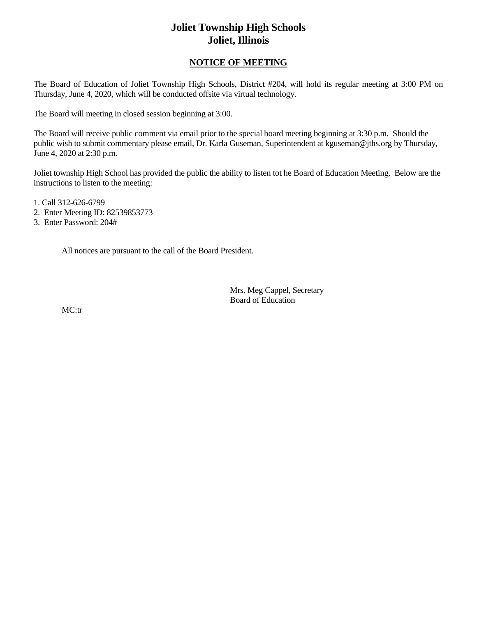# **Joliet Township High Schools Joliet, Illinois**

# **NOTICE OF MEETING**

The Board of Education of Joliet Township High Schools, District #204, will hold its regular meeting at 3:00 PM on Thursday, June 4, 2020, which will be conducted offsite via virtual technology.

The Board will meeting in closed session beginning at 3:00.

The Board will receive public comment via email prior to the special board meeting beginning at 3:30 p.m. Should the public wish to submit commentary please email, Dr. Karla Guseman, Superintendent at kguseman@jths.org by Thursday, June 4, 2020 at 2:30 p.m.

Joliet township High School has provided the public the ability to listen tot he Board of Education Meeting. Below are the instructions to listen to the meeting:

1. Call 312-626-6799

2. Enter Meeting ID: 82539853773

3. Enter Password: 204#

All notices are pursuant to the call of the Board President.

Mrs. Meg Cappel, Secretary Board of Education

MC:tr